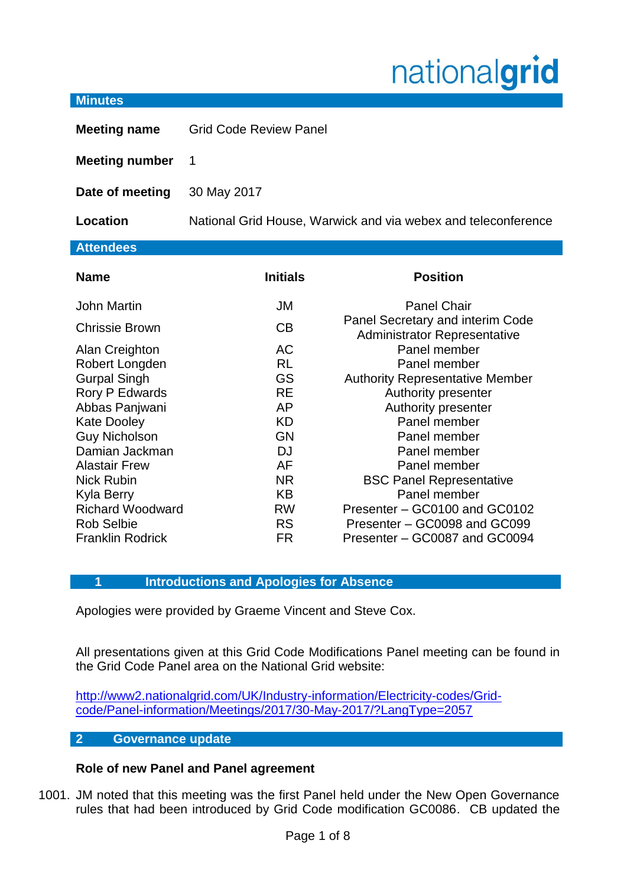# nationalgrid

#### **Minutes**

**Meeting name** Grid Code Review Panel

**Meeting number** 1

**Date of meeting** 30 May 2017

**Location** National Grid House, Warwick and via webex and teleconference

# **Attendees**

| <b>Name</b>             | <b>Initials</b> | <b>Position</b>                                                         |
|-------------------------|-----------------|-------------------------------------------------------------------------|
| <b>John Martin</b>      | JM              | <b>Panel Chair</b>                                                      |
| Chrissie Brown          | СB              | Panel Secretary and interim Code<br><b>Administrator Representative</b> |
| Alan Creighton          | AC              | Panel member                                                            |
| Robert Longden          | <b>RL</b>       | Panel member                                                            |
| <b>Gurpal Singh</b>     | <b>GS</b>       | <b>Authority Representative Member</b>                                  |
| Rory P Edwards          | <b>RE</b>       | Authority presenter                                                     |
| Abbas Panjwani          | AP              | Authority presenter                                                     |
| <b>Kate Dooley</b>      | <b>KD</b>       | Panel member                                                            |
| <b>Guy Nicholson</b>    | GN              | Panel member                                                            |
| Damian Jackman          | DJ              | Panel member                                                            |
| <b>Alastair Frew</b>    | AF              | Panel member                                                            |
| <b>Nick Rubin</b>       | <b>NR</b>       | <b>BSC Panel Representative</b>                                         |
| <b>Kyla Berry</b>       | KB              | Panel member                                                            |
| <b>Richard Woodward</b> | <b>RW</b>       | Presenter - GC0100 and GC0102                                           |
| <b>Rob Selbie</b>       | <b>RS</b>       | Presenter - GC0098 and GC099                                            |
| <b>Franklin Rodrick</b> | FR              | Presenter – GC0087 and GC0094                                           |

# **1 Introductions and Apologies for Absence**

Apologies were provided by Graeme Vincent and Steve Cox.

All presentations given at this Grid Code Modifications Panel meeting can be found in the Grid Code Panel area on the National Grid website:

[http://www2.nationalgrid.com/UK/Industry-information/Electricity-codes/Grid](http://www2.nationalgrid.com/UK/Industry-information/Electricity-codes/Grid-code/Panel-information/Meetings/2017/30-May-2017/?LangType=2057)[code/Panel-information/Meetings/2017/30-May-2017/?LangType=2057](http://www2.nationalgrid.com/UK/Industry-information/Electricity-codes/Grid-code/Panel-information/Meetings/2017/30-May-2017/?LangType=2057)

#### **2 Governance update**

# **Role of new Panel and Panel agreement**

1001. JM noted that this meeting was the first Panel held under the New Open Governance rules that had been introduced by Grid Code modification GC0086. CB updated the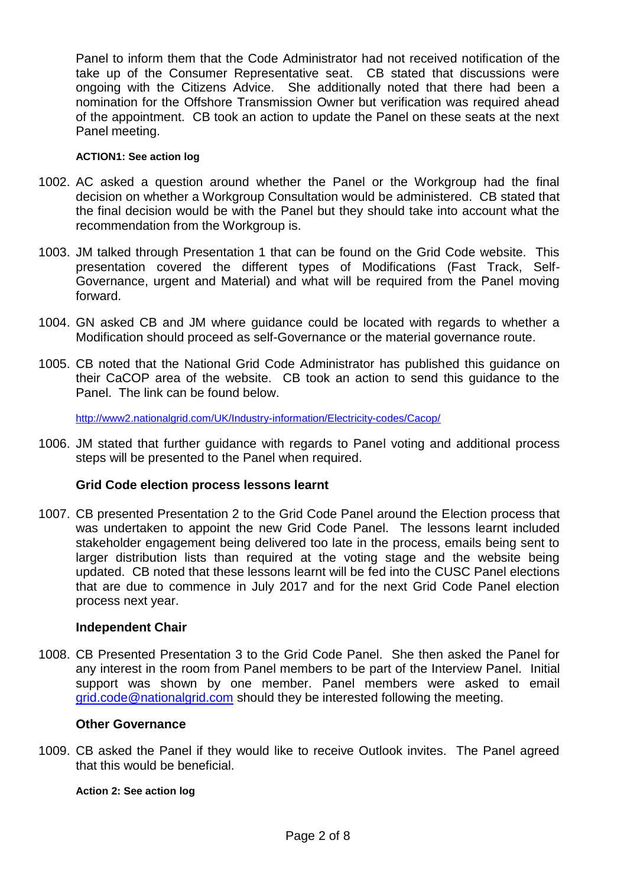Panel to inform them that the Code Administrator had not received notification of the take up of the Consumer Representative seat. CB stated that discussions were ongoing with the Citizens Advice. She additionally noted that there had been a nomination for the Offshore Transmission Owner but verification was required ahead of the appointment. CB took an action to update the Panel on these seats at the next Panel meeting.

#### **ACTION1: See action log**

- 1002. AC asked a question around whether the Panel or the Workgroup had the final decision on whether a Workgroup Consultation would be administered. CB stated that the final decision would be with the Panel but they should take into account what the recommendation from the Workgroup is.
- 1003. JM talked through Presentation 1 that can be found on the Grid Code website. This presentation covered the different types of Modifications (Fast Track, Self-Governance, urgent and Material) and what will be required from the Panel moving forward.
- 1004. GN asked CB and JM where guidance could be located with regards to whether a Modification should proceed as self-Governance or the material governance route.
- 1005. CB noted that the National Grid Code Administrator has published this guidance on their CaCOP area of the website. CB took an action to send this guidance to the Panel. The link can be found below.

<http://www2.nationalgrid.com/UK/Industry-information/Electricity-codes/Cacop/>

1006. JM stated that further guidance with regards to Panel voting and additional process steps will be presented to the Panel when required.

# **Grid Code election process lessons learnt**

1007. CB presented Presentation 2 to the Grid Code Panel around the Election process that was undertaken to appoint the new Grid Code Panel. The lessons learnt included stakeholder engagement being delivered too late in the process, emails being sent to larger distribution lists than required at the voting stage and the website being updated. CB noted that these lessons learnt will be fed into the CUSC Panel elections that are due to commence in July 2017 and for the next Grid Code Panel election process next year.

# **Independent Chair**

1008. CB Presented Presentation 3 to the Grid Code Panel. She then asked the Panel for any interest in the room from Panel members to be part of the Interview Panel. Initial support was shown by one member. Panel members were asked to email [grid.code@nationalgrid.com](mailto:grid.code@nationalgrid.com) should they be interested following the meeting.

#### **Other Governance**

1009. CB asked the Panel if they would like to receive Outlook invites. The Panel agreed that this would be beneficial.

#### **Action 2: See action log**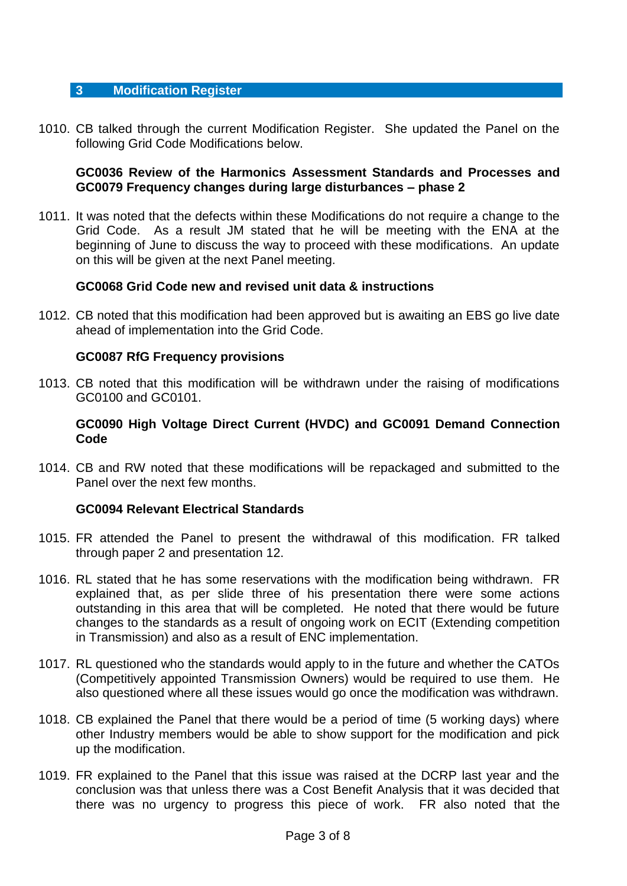## **3 Modification Register**

1010. CB talked through the current Modification Register. She updated the Panel on the following Grid Code Modifications below.

## **GC0036 Review of the Harmonics Assessment Standards and Processes and GC0079 Frequency changes during large disturbances – phase 2**

1011. It was noted that the defects within these Modifications do not require a change to the Grid Code. As a result JM stated that he will be meeting with the ENA at the beginning of June to discuss the way to proceed with these modifications. An update on this will be given at the next Panel meeting.

## **GC0068 Grid Code new and revised unit data & instructions**

1012. CB noted that this modification had been approved but is awaiting an EBS go live date ahead of implementation into the Grid Code.

## **GC0087 RfG Frequency provisions**

1013. CB noted that this modification will be withdrawn under the raising of modifications GC0100 and GC0101.

## **GC0090 High Voltage Direct Current (HVDC) and GC0091 Demand Connection Code**

1014. CB and RW noted that these modifications will be repackaged and submitted to the Panel over the next few months.

#### **GC0094 Relevant Electrical Standards**

- 1015. FR attended the Panel to present the withdrawal of this modification. FR talked through paper 2 and presentation 12.
- 1016. RL stated that he has some reservations with the modification being withdrawn. FR explained that, as per slide three of his presentation there were some actions outstanding in this area that will be completed. He noted that there would be future changes to the standards as a result of ongoing work on ECIT (Extending competition in Transmission) and also as a result of ENC implementation.
- 1017. RL questioned who the standards would apply to in the future and whether the CATOs (Competitively appointed Transmission Owners) would be required to use them. He also questioned where all these issues would go once the modification was withdrawn.
- 1018. CB explained the Panel that there would be a period of time (5 working days) where other Industry members would be able to show support for the modification and pick up the modification.
- 1019. FR explained to the Panel that this issue was raised at the DCRP last year and the conclusion was that unless there was a Cost Benefit Analysis that it was decided that there was no urgency to progress this piece of work. FR also noted that the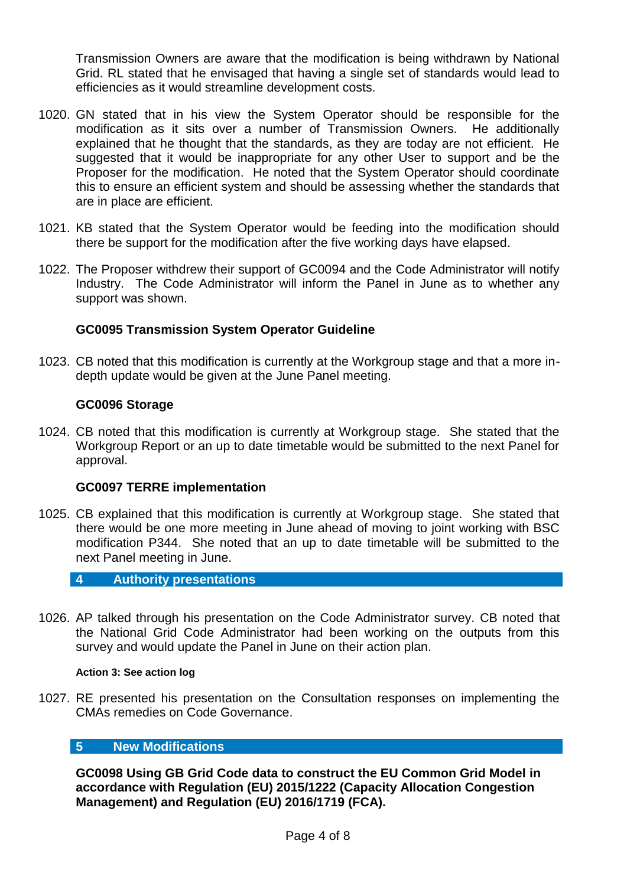Transmission Owners are aware that the modification is being withdrawn by National Grid. RL stated that he envisaged that having a single set of standards would lead to efficiencies as it would streamline development costs.

- 1020. GN stated that in his view the System Operator should be responsible for the modification as it sits over a number of Transmission Owners. He additionally explained that he thought that the standards, as they are today are not efficient. He suggested that it would be inappropriate for any other User to support and be the Proposer for the modification. He noted that the System Operator should coordinate this to ensure an efficient system and should be assessing whether the standards that are in place are efficient.
- 1021. KB stated that the System Operator would be feeding into the modification should there be support for the modification after the five working days have elapsed.
- 1022. The Proposer withdrew their support of GC0094 and the Code Administrator will notify Industry. The Code Administrator will inform the Panel in June as to whether any support was shown.

# **GC0095 Transmission System Operator Guideline**

1023. CB noted that this modification is currently at the Workgroup stage and that a more indepth update would be given at the June Panel meeting.

# **GC0096 Storage**

1024. CB noted that this modification is currently at Workgroup stage. She stated that the Workgroup Report or an up to date timetable would be submitted to the next Panel for approval.

#### **GC0097 TERRE implementation**

1025. CB explained that this modification is currently at Workgroup stage. She stated that there would be one more meeting in June ahead of moving to joint working with BSC modification P344. She noted that an up to date timetable will be submitted to the next Panel meeting in June.

#### **4 Authority presentations**

1026. AP talked through his presentation on the Code Administrator survey. CB noted that the National Grid Code Administrator had been working on the outputs from this survey and would update the Panel in June on their action plan.

#### **Action 3: See action log**

1027. RE presented his presentation on the Consultation responses on implementing the CMAs remedies on Code Governance.

## **5 New Modifications**

**GC0098 Using GB Grid Code data to construct the EU Common Grid Model in accordance with Regulation (EU) 2015/1222 (Capacity Allocation Congestion Management) and Regulation (EU) 2016/1719 (FCA).**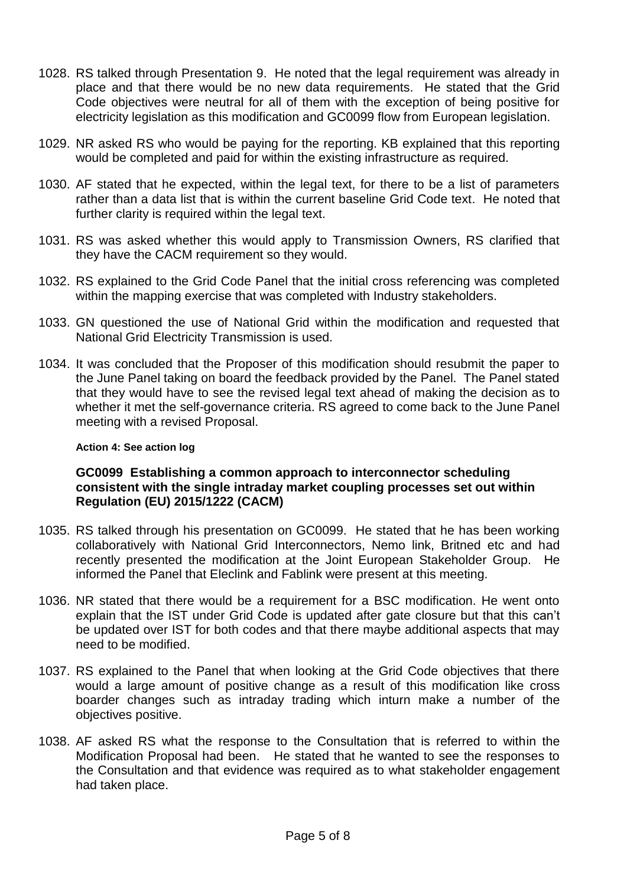- 1028. RS talked through Presentation 9. He noted that the legal requirement was already in place and that there would be no new data requirements. He stated that the Grid Code objectives were neutral for all of them with the exception of being positive for electricity legislation as this modification and GC0099 flow from European legislation.
- 1029. NR asked RS who would be paying for the reporting. KB explained that this reporting would be completed and paid for within the existing infrastructure as required.
- 1030. AF stated that he expected, within the legal text, for there to be a list of parameters rather than a data list that is within the current baseline Grid Code text. He noted that further clarity is required within the legal text.
- 1031. RS was asked whether this would apply to Transmission Owners, RS clarified that they have the CACM requirement so they would.
- 1032. RS explained to the Grid Code Panel that the initial cross referencing was completed within the mapping exercise that was completed with Industry stakeholders.
- 1033. GN questioned the use of National Grid within the modification and requested that National Grid Electricity Transmission is used.
- 1034. It was concluded that the Proposer of this modification should resubmit the paper to the June Panel taking on board the feedback provided by the Panel. The Panel stated that they would have to see the revised legal text ahead of making the decision as to whether it met the self-governance criteria. RS agreed to come back to the June Panel meeting with a revised Proposal.

#### **Action 4: See action log**

## **GC0099 Establishing a common approach to interconnector scheduling consistent with the single intraday market coupling processes set out within Regulation (EU) 2015/1222 (CACM)**

- 1035. RS talked through his presentation on GC0099. He stated that he has been working collaboratively with National Grid Interconnectors, Nemo link, Britned etc and had recently presented the modification at the Joint European Stakeholder Group. He informed the Panel that Eleclink and Fablink were present at this meeting.
- 1036. NR stated that there would be a requirement for a BSC modification. He went onto explain that the IST under Grid Code is updated after gate closure but that this can't be updated over IST for both codes and that there maybe additional aspects that may need to be modified.
- 1037. RS explained to the Panel that when looking at the Grid Code objectives that there would a large amount of positive change as a result of this modification like cross boarder changes such as intraday trading which inturn make a number of the objectives positive.
- 1038. AF asked RS what the response to the Consultation that is referred to within the Modification Proposal had been. He stated that he wanted to see the responses to the Consultation and that evidence was required as to what stakeholder engagement had taken place.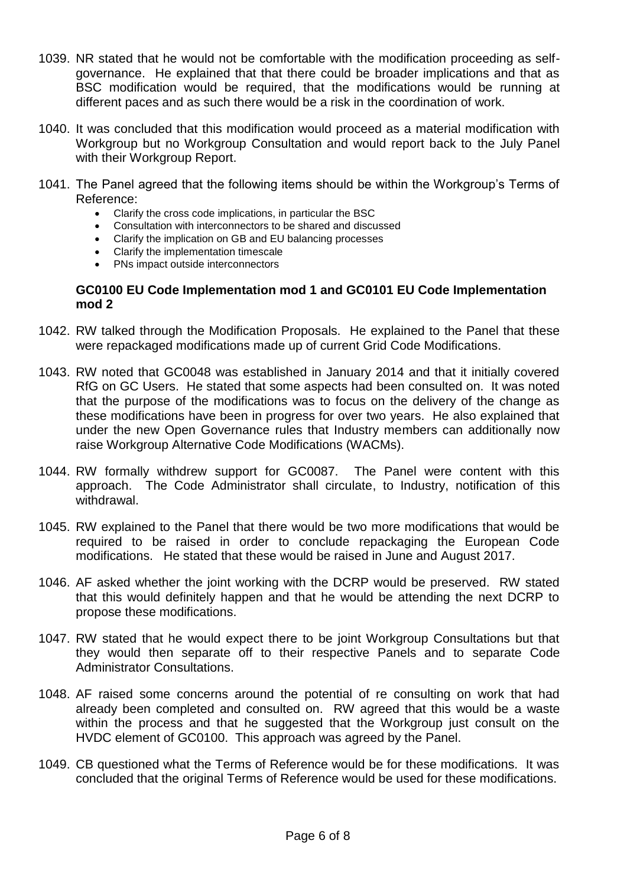- 1039. NR stated that he would not be comfortable with the modification proceeding as selfgovernance. He explained that that there could be broader implications and that as BSC modification would be required, that the modifications would be running at different paces and as such there would be a risk in the coordination of work.
- 1040. It was concluded that this modification would proceed as a material modification with Workgroup but no Workgroup Consultation and would report back to the July Panel with their Workgroup Report.
- 1041. The Panel agreed that the following items should be within the Workgroup's Terms of Reference:
	- Clarify the cross code implications, in particular the BSC
	- Consultation with interconnectors to be shared and discussed
	- Clarify the implication on GB and EU balancing processes
	- Clarify the implementation timescale
	- PNs impact outside interconnectors

## **GC0100 EU Code Implementation mod 1 and GC0101 EU Code Implementation mod 2**

- 1042. RW talked through the Modification Proposals. He explained to the Panel that these were repackaged modifications made up of current Grid Code Modifications.
- 1043. RW noted that GC0048 was established in January 2014 and that it initially covered RfG on GC Users. He stated that some aspects had been consulted on. It was noted that the purpose of the modifications was to focus on the delivery of the change as these modifications have been in progress for over two years. He also explained that under the new Open Governance rules that Industry members can additionally now raise Workgroup Alternative Code Modifications (WACMs).
- 1044. RW formally withdrew support for GC0087. The Panel were content with this approach. The Code Administrator shall circulate, to Industry, notification of this withdrawal.
- 1045. RW explained to the Panel that there would be two more modifications that would be required to be raised in order to conclude repackaging the European Code modifications. He stated that these would be raised in June and August 2017.
- 1046. AF asked whether the joint working with the DCRP would be preserved. RW stated that this would definitely happen and that he would be attending the next DCRP to propose these modifications.
- 1047. RW stated that he would expect there to be joint Workgroup Consultations but that they would then separate off to their respective Panels and to separate Code Administrator Consultations.
- 1048. AF raised some concerns around the potential of re consulting on work that had already been completed and consulted on. RW agreed that this would be a waste within the process and that he suggested that the Workgroup just consult on the HVDC element of GC0100. This approach was agreed by the Panel.
- 1049. CB questioned what the Terms of Reference would be for these modifications. It was concluded that the original Terms of Reference would be used for these modifications.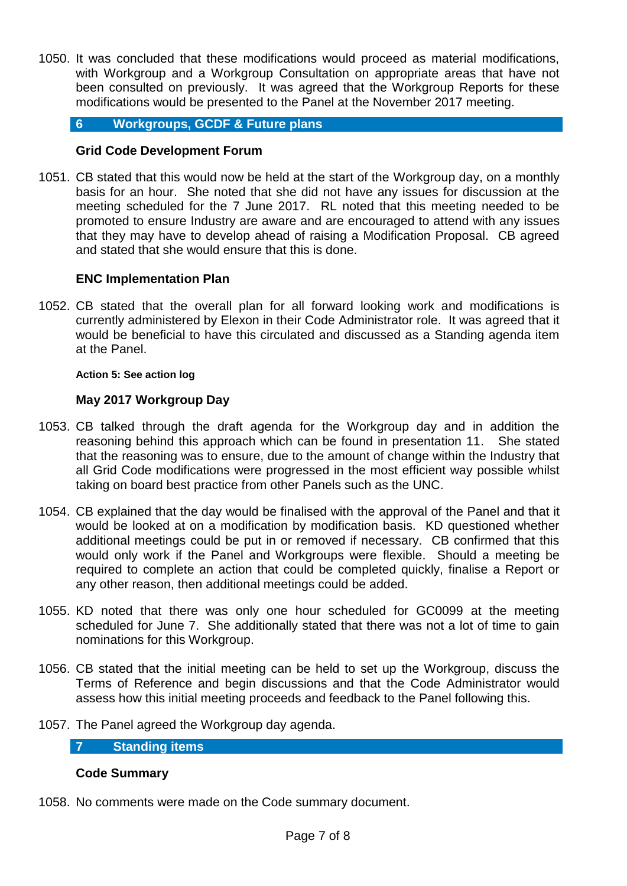1050. It was concluded that these modifications would proceed as material modifications, with Workgroup and a Workgroup Consultation on appropriate areas that have not been consulted on previously. It was agreed that the Workgroup Reports for these modifications would be presented to the Panel at the November 2017 meeting.

# **6 Workgroups, GCDF & Future plans**

# **Grid Code Development Forum**

1051. CB stated that this would now be held at the start of the Workgroup day, on a monthly basis for an hour. She noted that she did not have any issues for discussion at the meeting scheduled for the 7 June 2017. RL noted that this meeting needed to be promoted to ensure Industry are aware and are encouraged to attend with any issues that they may have to develop ahead of raising a Modification Proposal. CB agreed and stated that she would ensure that this is done.

# **ENC Implementation Plan**

1052. CB stated that the overall plan for all forward looking work and modifications is currently administered by Elexon in their Code Administrator role. It was agreed that it would be beneficial to have this circulated and discussed as a Standing agenda item at the Panel.

## **Action 5: See action log**

# **May 2017 Workgroup Day**

- 1053. CB talked through the draft agenda for the Workgroup day and in addition the reasoning behind this approach which can be found in presentation 11. She stated that the reasoning was to ensure, due to the amount of change within the Industry that all Grid Code modifications were progressed in the most efficient way possible whilst taking on board best practice from other Panels such as the UNC.
- 1054. CB explained that the day would be finalised with the approval of the Panel and that it would be looked at on a modification by modification basis. KD questioned whether additional meetings could be put in or removed if necessary. CB confirmed that this would only work if the Panel and Workgroups were flexible. Should a meeting be required to complete an action that could be completed quickly, finalise a Report or any other reason, then additional meetings could be added.
- 1055. KD noted that there was only one hour scheduled for GC0099 at the meeting scheduled for June 7. She additionally stated that there was not a lot of time to gain nominations for this Workgroup.
- 1056. CB stated that the initial meeting can be held to set up the Workgroup, discuss the Terms of Reference and begin discussions and that the Code Administrator would assess how this initial meeting proceeds and feedback to the Panel following this.
- 1057. The Panel agreed the Workgroup day agenda.

# **7 Standing items**

# **Code Summary**

1058. No comments were made on the Code summary document.